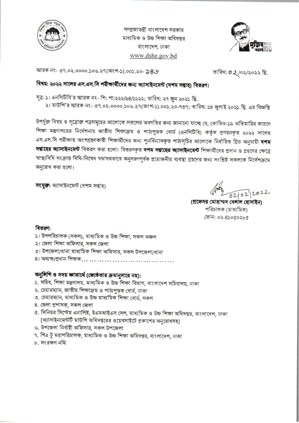

গণপ্রজাতন্ত্রী বাংলাদেশ সরকার মাধ্যমিক ও উচ্চ শিক্ষা অধিদপ্তর বাংলাদেশ, ঢাকা www.dshe.gov.bd



স্মারক নং- ৩৭.০২.০০০০.১০৬.২৭(অংশ-১).০০১.২০- ১৪৬

তারিখ: 0 ২/০২/২০২২ খ্রি.

#### বিষয়: ২০২২ সালের এস.এস.সি পরীক্ষার্থীদের জন্য অ্যাসাইনমেন্ট (দশম সম্ভাহ) বিতরণ।

সূত্র: ১। এনসিটিবি'র স্মারক নং- শি: শা:২২২/৯৪/১১২২; তারিখ: ২৭ জুন ২০২১ খ্রি.

২। মাউশি'র স্মারক নং- ৩৭.০২.০০০০.১০৬.২৭(অংশ-১).০০১.২০-৭৩৭; তারিখ: ১৪ জুলাই ২০২১ খ্রি. এর বিজ্ঞপ্তি

উপর্যুক্ত বিষয় ও সূত্রোক্ত পত্রসমূহের আলোকে সকলের অবগতির জন্য জানানো যাচ্ছে যে, কোভিড-১৯ অতিমারির কারণে শিক্ষা মন্ত্রণালয়ের নির্দেশনায় জাতীয় শিক্ষাক্রম ও পাঠ্যপুস্তক বোর্ড (এনসিটিবি) কর্তৃক প্রণয়নকৃত ২০২২ সালের এস.এস.সি পরীক্ষায় অংশগ্রহণকারী শিক্ষার্থীদের জন্য পুনর্বিন্যাসকৃত পাঠ্যসূচির আলোকে নির্ধারিত গ্রিড অনুযায়ী **দশম সপ্তাহের অ্যাসাইনমেন্ট** বিতরণ করা হলো। বিতরণকৃত **দশম সপ্তাহের অ্যাসাইনমেন্ট** শিক্ষার্থীদের প্রদান ও গ্রহণের ক্ষেত্রে স্বাস্থ্যবিধি সংক্রান্ত বিধি-নিষেধ যথাযথভাবে অনুসরণপূর্বক প্রয়োজনীয় ব্যবস্থা গ্রহণের জন্য সংশ্লিষ্ট সকলকে নির্দেশক্রমে অনুরোধ করা হলো।

সংযুক্ত: অ্যাসাইনমেন্ট (দশম সপ্তাহ)

(প্রফেসর মোহাম্মদ বেলাল হোস পরিচালক (মাধ্যমিক) ফোন: ০২-৪১০৫০২৮৫

#### বিতরণ:

- ১। উপপরিচালক (সকল), মাধ্যমিক ও উচ্চ শিক্ষা, সকল অঞ্চল
- ২। জেলা শিক্ষা অফিসার, সকল জেলা
- ৩। উপজেলা/থানা মাধ্যমিক শিক্ষা অফিসার, সকল উপজেলা/থানা
- ৪। অধ্যক্ষ/প্ৰধান শিক্ষক........................

#### অনুলিপি ও সদয় জাতার্থে (জ্যেষ্ঠতার ক্রমানুসারে নয়):

- ১. সচিব, শিক্ষা মন্ত্রণালয়, মাধ্যমিক ও উচ্চ শিক্ষা বিভাগ, বাংলাদেশ সচিবালয়, ঢাকা
- ২. চেয়ারম্যান, জাতীয় শিক্ষাক্রম ও পাঠ্যপুস্তক বোর্ড, ঢাকা
- ৩. চেয়ারম্যান, মাধ্যমিক ও উচ্চ মাধ্যমিক শিক্ষা বোর্ড, সকল
- 8. জেলা প্রশাসক, সকল জেলা
- ৫. সিনিয়র সিস্টেম এনালিষ্ট, ইএমআইএস সেল, মাধ্যমিক ও উচ্চ শিক্ষা অধিদপ্তর, বাংলাদেশ, ঢাকা [অ্যাসাইনমেন্টটি মাউশি অধিদপ্তরের ওয়েবসাইটে প্রকাশের অনুরোধসহ]
- ৬. উপজেলা নির্বাহী অফিসার, সকল উপজেলা
- ৭. পিএ টু মহাপরিচালক, মাধ্যমিক ও উচ্চ শিক্ষা অধিদপ্তর, বাংলাদেশ, ঢাকা
- ৮. সংরক্ষণ নথি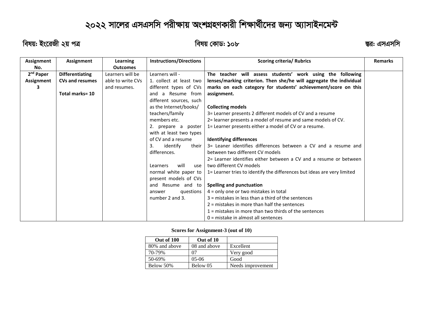# ২০২২ সালের এসএসসি পরীক্ষায় অংশ্রহণকারী শিক্ষার্থীদের জন্য অ্যাসাইনমেন্ট

 $\overline{R}$ র্ষয়: ইংরেজী ২য় পত্র ব্যাষ্ট্র ব্যাষ্ট্র ব্যাষ্ট্র ক্রান্ড: ১০৮ ব্রাষ্ট্র ব্যাষ্ট্র ব্যাষ্ট্র ব্যাষ্ট্র ব্যাষ্ট্র ব্যাষ্ট্র ব্যাষ্ট্র ব্যাষ্ট্র ব্যাষ্ট্র ব্যাষ্ট্র ব্যাষ্ট্র ব্যাষ্ট্র ব্যাষ্ট্র ব্যাষ্ট্র ব্যাষ্ট

| Assignment            | Assignment             | Learning          | <b>Instructions/Directions</b> | <b>Scoring criteria/ Rubrics</b>                                        | <b>Remarks</b> |
|-----------------------|------------------------|-------------------|--------------------------------|-------------------------------------------------------------------------|----------------|
| No.                   |                        | <b>Outcomes</b>   |                                |                                                                         |                |
| 2 <sup>nd</sup> Paper | <b>Differentiating</b> | Learners will be  | Learners will -                | The teacher will assess students' work using the following              |                |
| Assignment            | <b>CVs and resumes</b> | able to write CVs | 1. collect at least two        | lenses/marking criterion. Then she/he will aggregate the individual     |                |
| з                     |                        | and resumes.      | different types of CVs         | marks on each category for students' achievement/score on this          |                |
|                       | Total marks= 10        |                   | and a Resume from              | assignment.                                                             |                |
|                       |                        |                   | different sources, such        |                                                                         |                |
|                       |                        |                   | as the Internet/books/         | <b>Collecting models</b>                                                |                |
|                       |                        |                   | teachers/family                | 3= Learner presents 2 different models of CV and a resume               |                |
|                       |                        |                   | members etc.                   | 2= learner presents a model of resume and same models of CV.            |                |
|                       |                        |                   | 2. prepare a poster            | 1= Learner presents either a model of CV or a resume.                   |                |
|                       |                        |                   | with at least two types        |                                                                         |                |
|                       |                        |                   | of CV and a resume             | <b>Identifying differences</b>                                          |                |
|                       |                        |                   | 3.<br>identify<br>their        | 3= Leaner identifies differences between a CV and a resume and          |                |
|                       |                        |                   | differences.                   | between two different CV models                                         |                |
|                       |                        |                   |                                | 2= Learner identifies either between a CV and a resume or between       |                |
|                       |                        |                   | will<br>Learners<br>use        | two different CV models                                                 |                |
|                       |                        |                   | normal white paper to          | 1= Learner tries to identify the differences but ideas are very limited |                |
|                       |                        |                   | present models of CVs          |                                                                         |                |
|                       |                        |                   | and Resume and to              | Spelling and punctuation                                                |                |
|                       |                        |                   | questions<br>answer            | $4 =$ only one or two mistakes in total                                 |                |
|                       |                        |                   | number 2 and 3.                | $3$ = mistakes in less than a third of the sentences                    |                |
|                       |                        |                   |                                | 2 = mistakes in more than half the sentences                            |                |
|                       |                        |                   |                                | $1$ = mistakes in more than two thirds of the sentences                 |                |
|                       |                        |                   |                                | $0 =$ mistake in almost all sentences                                   |                |

#### **Scores for Assignment-3 (out of 10)**

| Out of 100    | Out of 10    |                   |
|---------------|--------------|-------------------|
| 80% and above | 08 and above | Excellent         |
| 70-79%        | 07           | Very good         |
| 50-69%        | $05-06$      | Good              |
| Below 50%     | Below 05     | Needs improvement |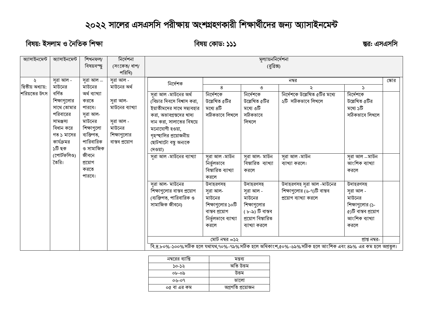## ২০২২ সালের এসএসসি পরীক্ষায় অংশগ্রহণকারী শিক্ষার্থীদের জন্য অ্যাসাইনমেন্<del>ট</del>

### বিষয়: ইসলাম ও নৈতিক শিক্ষা **সম্ভব্রত হোৱা হৈছে। তেওঁ হোৱা হৈছে সম্ভব্রত হোৱা হৈছে সম্ভব্রত হোৱা হৈছে বিষয় কোড**

| অ্যাসাইনমেন্ট     | অ্যাসাইনমেন্ট | শিখনফল/       | নিৰ্দেশনা       | মূল্যায়ননির্দেশনা         |                                    |                    |                                                                                                        |                     |       |  |
|-------------------|---------------|---------------|-----------------|----------------------------|------------------------------------|--------------------|--------------------------------------------------------------------------------------------------------|---------------------|-------|--|
|                   |               | বিষয়বস্ত্ত্ব | (সংকেত/ ধাপ/    | (রুব্রিক্স)                |                                    |                    |                                                                                                        |                     |       |  |
|                   |               |               | পরিধি)          |                            |                                    |                    |                                                                                                        |                     |       |  |
| ₹                 | সূরা আল -     | সুরা আল $-$   | সুরা আল -       |                            |                                    |                    | নম্বর                                                                                                  |                     | স্কোর |  |
| দ্বিতীয় অধ্যায়: | মাউনের        | মাউনের        | মাউনের অর্থ     | নিৰ্দেশক                   | 8                                  | ৩                  | ₹                                                                                                      | $\mathcal{L}$       |       |  |
| শরিয়তের উৎস      | বৰ্ণিত        | অৰ্থ ব্যাখ্যা |                 | সুরা আল -মাউনের অর্থ       | নিৰ্দেশকে                          | নিৰ্দেশকে          | নির্দেশকে উল্লেখিত ৫টির মধ্যে                                                                          | নিৰ্দেশকে           |       |  |
|                   | শিক্ষাগুলোর   | করতে          | সুরা আল-        | (বিচার দিবসে বিশ্বাস করা,  | উল্লেখিত ৫টির                      | উল্লেখিত ৫টির      | ২টি সঠিকভাবে লিখলে                                                                                     | উল্লেখিত ৫টির       |       |  |
|                   | সাথে তোমার    | পারবে।        | মাউনের ব্যাখ্যা | ইয়াতীমদের সাথে সদ্ব্যবহার | মধ্যে ৪টি                          | মধ্যে ৩টি          |                                                                                                        | মধ্যে ১টি           |       |  |
|                   | পরিবারের      | সরা আল-       |                 | করা, অভাবগ্রস্তদের খাদ্য   | সঠিকভাবে লিখলে                     | সঠিকভাবে           |                                                                                                        | সঠিকভাবে লিখলে      |       |  |
|                   | সামঞ্জস্য     | মাউনের        | সরা আল -        | দান করা, সালাতের বিষয়ে    |                                    | লিখলে              |                                                                                                        |                     |       |  |
|                   | বিধান করে     | শিক্ষাগুলো    | মাউনের          | মনোযোগী হওয়া,             |                                    |                    |                                                                                                        |                     |       |  |
|                   | গত ১ মাসের    | ব্যক্তিগত,    | শিক্ষাগুলোর     | গৃহস্হালির প্রয়োজনীয়     |                                    |                    |                                                                                                        |                     |       |  |
|                   | কার্যক্রমর    | পারিবারিক     | বাস্তব প্ৰয়োগ  | ছোটখাটো বন্থু অন্যকে       |                                    |                    |                                                                                                        |                     |       |  |
|                   | ১টি ছক        | ও সামাজিক     |                 | দেওয়া)                    |                                    |                    |                                                                                                        |                     |       |  |
|                   | (পোর্টফলিও)   | জীবনে         |                 | সরা আল -মাউনের ব্যাখ্যা    | সুরা আল -মাউন                      | সরা আল- মাউন       | সুরা আল -মাউন                                                                                          | সুরা আল _মাউন       |       |  |
|                   | তৈরি।         | প্ৰয়োগ       |                 |                            | নিৰ্ভুলভাবে                        | বিস্তারিত ব্যাখ্যা | ব্যাখ্যা করলে।                                                                                         | আংশিক ব্যাখ্যা      |       |  |
|                   |               | করতে          |                 |                            | বিস্তারিত ব্যাখ্যা                 | করলে               |                                                                                                        | করলে                |       |  |
|                   |               | পারবে।        |                 |                            | করলে                               |                    |                                                                                                        |                     |       |  |
|                   |               |               |                 | সুরা আল- মাউনের            | উদাহরণসহ                           | উদাহরণসহ           | উদাহরণসহ সূরা আল -মাউনের                                                                               | উদাহরণসহ            |       |  |
|                   |               |               |                 | শিক্ষাগুলোর বাস্তব প্রয়োগ | সরা আল-                            | সরা আল -           | শিক্ষাগুলোর (৬-৭)টি বাস্তব                                                                             | সরা আল -            |       |  |
|                   |               |               |                 | (ব্যক্তিগত, পারিবারিক ও    | মাউনের                             | মাউনের             | প্রয়োগ ব্যাখ্যা করলে                                                                                  | মাউনের              |       |  |
|                   |               |               |                 | সামাজিক জীবনে)             | শিক্ষাগুলোর ১০টি                   | শিক্ষাগুলোর        |                                                                                                        | শিক্ষাগুলোর (১-     |       |  |
|                   |               |               |                 |                            | বাস্তব প্রয়োগ                     | ( ৮-৯) টি বাস্তব   |                                                                                                        | ৫)টি বাস্তব প্রয়োগ |       |  |
|                   |               |               |                 |                            | নিৰ্ভুলভাবে ব্যাখ্যা               | প্রয়োগ বিস্তারিত  |                                                                                                        | আংশিক ব্যাখ্যা      |       |  |
|                   |               |               |                 |                            | করলে                               | ব্যাখ্যা করলে      |                                                                                                        | করলে                |       |  |
|                   |               |               |                 |                            |                                    |                    |                                                                                                        |                     |       |  |
|                   |               |               |                 |                            | মোট নম্বর $=$ ১২<br>প্ৰাপ্ত নম্বর- |                    |                                                                                                        |                     |       |  |
|                   |               |               |                 |                            |                                    |                    | বি.দ্র.৮০%-১০০%সঠিক হলে যথাযথ,৭০%-৭৯%সঠিক হলে অধিকাংশ,৫০%-৬৯%সঠিক হলে আংশিক এবং ৪৯% এর কম হলে অপ্রতুল। |                     |       |  |

| নম্বরের ব্যাপ্তি | মন্তব্য          |
|------------------|------------------|
| ১০-১২            | অতি উত্তম        |
| ০৮-০৯            | উত্তম            |
| ০৬-০৭            | ভালো             |
| ০৫ বা এর কম      | অগ্ৰগতি প্ৰয়োজন |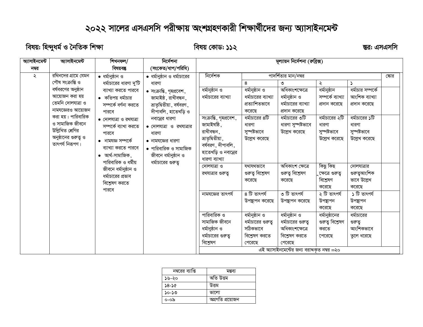## ২০২২ সালের এসএসসি পরীক্ষায় অংশগ্রহণকারী শিক্ষার্থীদের জন্য অ্যাসাইনমেন্ট

বিষয়: হিন্দুধৰ্ম ও নৈতিক শিক্ষা

বিষয় কোড: ১১২

ম্ভর: এসএসসি

| আসাইনমেন্ট | আসাইনমেন্ট           | শিখনফল/                        | নিৰ্দেশনা                   | মূল্যায়ন নির্দেশনা (রুব্রিক্স) |                     |                                             |                   |                   |     |
|------------|----------------------|--------------------------------|-----------------------------|---------------------------------|---------------------|---------------------------------------------|-------------------|-------------------|-----|
| নম্বর      |                      | বিষয়বস্তু                     | (সংকেত/ধাপ/পরিধি)           |                                 |                     |                                             |                   |                   |     |
| ২          | রথিনদের গ্রামে যেমন  | $\bullet$ ধর্মানুষ্ঠান ও       | • ধর্মানুষ্ঠান ও ধর্মাচারের | নিৰ্দেশক                        |                     | পাদর্শিতার মান/নম্বর                        |                   |                   | কোর |
|            | পৌষ সংক্ৰান্তি ও     | ধর্মাচারের ধারণা দু'টি         | ধারণা                       |                                 | 8                   | ৩                                           | ২                 | $\mathcal{L}$     |     |
|            | বর্ষবরণের অনুষ্ঠান   | ব্যাখ্যা করতে পারবে            | • সংক্রান্তি, গৃহপ্রবেশ,    | ধৰ্মানুষ্ঠান ও                  | ধৰ্মানুষ্ঠান ও      | অধিকাংশক্ষেত্ৰে                             | ধৰ্মানুষ্ঠান      | ধর্মাচার সম্পর্কে |     |
|            | আয়োজন করা হয়       | • কতিপয় ধর্মাচার              | জামাইষ্ঠ, রাখীবন্ধন,        | ধর্মাচারের ব্যাখ্যা             | ধর্মাচারের ব্যাখ্যা | ধৰ্মানুষ্ঠান ও                              | সম্পৰ্কে ব্যাখ্যা | আংশিক ব্যাখ্যা    |     |
|            | তেমনি দোলযাত্রা ও    | সম্পৰ্কে বৰ্ণনা করতে           | ভ্রাতৃদ্বিতীয়া, বর্ষবরণ,   |                                 | প্রত্যাশিতভাবে      | ধর্মাচারের ব্যাখ্যা                         | প্রদান করেছে      | প্রদান করেছে      |     |
|            | নামযজ্ঞেরও আয়োজন    | পারবে                          | দীপাবলি, হাতেখড়ি ও         |                                 | করেছে               | প্রদান করেছে                                |                   |                   |     |
|            | করা হয়। পারিবারিক   | $\bullet$ দোলযাত্রা ও রথযাত্রা | নবান্নের ধারণা              | সংক্রান্তি, গৃহপ্রবেশ,          | ধর্মাচারের ৪টি      | ধর্মাচারের ৩টি                              | ধর্মাচারের ২টি    | ধর্মাচারের ১টি    |     |
|            | ও সামাজিক জীবনে      | সম্পৰ্কে ব্যাখা করতে           | • দোলযাত্রা ও রথযাত্রার     | জামাইষষ্ঠি,                     | ধারণা               | ধারণা সুস্পষ্টভাবে                          | ধারণা             | ধারণা             |     |
|            | উল্লিখিত শ্ৰেণির     | পারবে                          | ধারণা                       | রাখীবন্ধন,                      | সুস্পষ্টভাবে        | উল্লেখ করেছে                                | সুস্পষ্টভাবে      | সুস্পষ্টভাবে      |     |
|            | অনুষ্ঠানের গুরুত্ব ও | $\bullet$ নামযজ্ঞ সম্পৰ্কে     | • নামযজ্ঞের ধারণা           | ভ্ৰাতৃদ্বিতীয়া,                | উল্লেখ করেছে        |                                             | উল্লেখ করেছে      | উল্লেখ করেছে      |     |
|            | তাৎপর্য নিরূপণ।      | ব্যাখ্যা করতে পারবে            | • পারিবারিক ও সামাজিক       | বর্ষবরণ, দীপাবলি,               |                     |                                             |                   |                   |     |
|            |                      | $\bullet$ আৰ্থ-সামাজিক,        | জীবনে ধর্মানুষ্ঠান ও        | হাতেখড়ি ও নবান্নের             |                     |                                             |                   |                   |     |
|            |                      | পারিবারিক ও ধর্মীয়            | ধর্মাচারের গুরুত্ব          | ধারণা ব্যাখ্যা                  |                     |                                             |                   |                   |     |
|            |                      | জীবনে ধর্মানুষ্ঠান ও           |                             | দোলযাত্রা ও                     | যথাযথভাবে           | অধিকাংশ ক্ষেত্ৰে                            | কিছু কিছ          | দোলযাত্রার        |     |
|            |                      | ধর্মাচারের প্রভাব              |                             | রথযাত্রার গুরুতু                | গুরুত্ব বিশ্বেষণ    | গুরুত্ব বিশ্লেষণ                            | ়ক্ষেত্রে গুরুতু  | গুরুত্বআংশিক      |     |
|            |                      | বিশ্লেষণ করতে                  |                             |                                 | করেছে               | করেছে                                       | বিশ্লেষণ          | ভাবে উল্লেখ       |     |
|            |                      | পারবে                          |                             |                                 |                     |                                             | করেছে             | করেছে             |     |
|            |                      |                                |                             | নামযজ্ঞের তাৎপর্য               | $86$ তাৎপর্য        | ত টি তাৎপৰ্য                                | ২ টি তাৎপৰ্য      | ১ টি তাৎপর্য      |     |
|            |                      |                                |                             |                                 | উপন্থাপন করেছে      | উপন্থাপন করেছে                              | উপন্থাপন          | উপন্থাপন          |     |
|            |                      |                                |                             |                                 |                     |                                             | করেছে             | করেছে             |     |
|            |                      |                                |                             | পারিবারিক ও                     | ধৰ্মানুষ্ঠান ও      | ধৰ্মানুষ্ঠান ও                              | ধর্মানুষ্ঠানের    | ধর্মাচারের        |     |
|            |                      |                                |                             | সামাজিক জীবনে                   | ধর্মাচারের গুরুতু   | ধর্মাচারের গুরুতু                           | গুরুত্ব বিশ্লেষণ  | গুরুত্ব           |     |
|            |                      |                                |                             | ধৰ্মানুষ্ঠান ও                  | সঠিকভাবে            | অধিকাংশক্ষেত্রে                             | করতে              | আংশিকভাবে         |     |
|            |                      |                                |                             | ধর্মাচারের গুরুত্ব              | বিশ্লেষণ করতে       | বিশ্বেষণ করতে                               | পেরেছে            | তুলে ধরেছে        |     |
|            |                      |                                |                             | বিশ্লেষণ                        | পেরেছে              | পেরেছে                                      |                   |                   |     |
|            |                      |                                |                             |                                 |                     | এই অ্যাসাইনমেন্টের জন্য বরাদ্দকৃত নম্বর =২০ |                   |                   |     |

| নম্বরের ব্যাপ্তি | মন্তব্য          |
|------------------|------------------|
| ১৬-২০            | অতি উত্তম        |
| ১৪-১৫            | উত্তম            |
| ১০-১৩            | ভালো             |
| ০-০৯             | অগ্ৰগতি প্ৰয়োজন |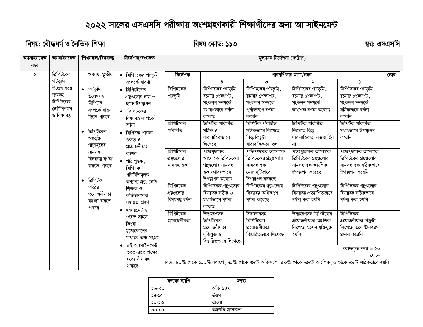## ২০২২ সালের এসএসসি পরীক্ষায় অংশগ্রহণকারী শিক্ষার্থীদের জন্য অ্যাসাইনমেন্ট

বিষয়: বৌদ্ধধর্ম ও নৈতিক শিক্ষা

বিষয় কোড: ১১৩

ম্ভর: এসএসসি

| অ্যাসাইনমেন্ট | আসাইনমেন্ট                  | শিখনফল/বিষয়বস্তু     | নিৰ্দেশনা/সংকেত                        | মূল্যায়ন নির্দেশনা (রুব্রিক্স) |                                       |                                       |                                                                                                  |                                   |       |
|---------------|-----------------------------|-----------------------|----------------------------------------|---------------------------------|---------------------------------------|---------------------------------------|--------------------------------------------------------------------------------------------------|-----------------------------------|-------|
| নম্বর         |                             |                       |                                        |                                 |                                       |                                       |                                                                                                  |                                   |       |
| ২             | ত্রিপিটকের                  | অধ্যায়: তৃতীয়       | • ত্রিপিটকের পটভূমি                    | নিৰ্দেশক                        |                                       |                                       | পারদর্শিতার মাত্রা/নম্বর                                                                         |                                   | ষ্কোর |
|               | পটভূমি                      |                       | সম্পৰ্কে ধারণা                         |                                 | 8                                     | ৩                                     |                                                                                                  |                                   |       |
|               | উল্লেখ করে                  | • পটভূমি              | ত্রিপিটেকের                            | ত্রিপিটকের                      | ত্রিপিটকের পটভূমি,                    | ত্রিপিটকের পটভূমি,                    | ত্রিপিটকের পটভূমি,                                                                               | ত্রিপিটকের পটভূমি,                |       |
|               | ছকসহ                        | উল্লেখসহ              | গ্রন্থুগুলোর নাম ও                     | পটভূমি                          | রচনার প্রেক্ষাপট.                     | রচনার প্রেক্ষাপট,                     | রচনার প্রেক্ষাপট ,                                                                               | রচনার প্রেক্ষাপট ,                |       |
|               | ত্রিপিটকের<br>শ্ৰেণিবিন্যাস | ত্ৰিপিটক              | ছকে উপন্থাপন                           |                                 | সংকলন সম্পৰ্কে                        | সংকলন সম্পৰ্কে                        | সংকলন সম্পৰ্কে                                                                                   | সংকলন সম্পৰ্কে                    |       |
|               | ও বিষয়বস্তু                | সম্পৰ্কে ধারণা        | • ত্রিপিটকের                           |                                 | যথাযথভাবে বর্ণনা                      | পর্ণাঙ্গরূপে বর্ণনা                   | আংশিক বৰ্ণনা করেছে                                                                               | সঠিকভাবে বর্ণনা                   |       |
|               |                             | দিতে পারবে            | বিষয়বন্তু সম্পৰ্কে                    |                                 | করেছে                                 | করেনি                                 |                                                                                                  | করেনি                             |       |
|               |                             |                       | বৰ্ণনা                                 | ত্রিপিটকের<br>পরিচিতি           | ত্রিপিটক পরিচিতি<br>সঠিক ও            | ত্রিপিটক পরিচিতি                      | ত্রিপিটক পরিচিতি                                                                                 | ত্ৰিপিটক পরিচিতি                  |       |
|               |                             | ত্রিপিটকের            | ত্রিপিটক পাঠের                         |                                 | ধারাবাহিকভাবে                         | সঠিকভাবে লিখেছে<br>কিন্তু কিছুটা      | লিখেছে কিন্তু<br>ধারাবাহিকতা বজায় ছিল                                                           | যথার্থভারে উপস্থাপন<br>করেনি      |       |
|               |                             | অন্তৰ্ভুক্ত           | গুরুত্ব ও                              |                                 | লিখেছে                                | ধারাবাহিকতা ছিল                       | না                                                                                               |                                   |       |
|               |                             | গ্রন্থসমূহের<br>নামসহ | প্ৰয়োজনীয়তা                          | ত্রিপিটকের                      | পাঠ্যপুস্তকের                         | পাঠ্যপুস্তকের আলোকে                   | পাঠ্যপুস্তকের আলোকে                                                                              | পাঠ্যপুস্তকের আলোকে               |       |
|               |                             | বিষয়বস্তু বর্ণনা     | ব্যাখ্যা                               | গ্রন্থলোর                       | আলোকে ত্রিপিটকের                      | ত্রিপিটকের গ্রন্থগুলোর                | ত্রিপিটকের গ্রন্থগুলোর                                                                           | ত্রিপিটকের গ্রন্থগুলোর            |       |
|               |                             | করতে পারবে            | $\bullet$ পাঠ্যপুস্তক,                 | নামসহ ছক                        | গ্রন্থুজলোর নামসহ                     | নামসহ ছক                              | নামসহ ছক আংশিক                                                                                   | নামসহ ছক সঠিকভাবে                 |       |
|               |                             |                       | ত্ৰিপিটক                               |                                 | ছক যথাযথভাবে                          | মোটামুটিভাবে                          | উপন্থাপন করেছে                                                                                   | উপস্থাপন করেনি                    |       |
|               |                             | ত্ৰিপিটক              | পরিচিতিমূলক<br>অন্যান্য গ্ৰন্থ, শ্ৰেণি |                                 | উপন্থাপন করেছে                        | উপন্থাপন করেছে                        |                                                                                                  |                                   |       |
|               |                             | পাঠের                 | শিক্ষক ও                               | ত্রিপিটকের                      | ত্রিপিটকের গ্রন্থগুলোর                | ত্রিপিটকের গ্রন্থগুলোর                | ত্রিপিটকের গ্রন্থগুলোর                                                                           | ত্রিপিটকের গ্রন্থগুলোর            |       |
|               |                             | প্ৰয়োজনীয়তা         | অভিভাবকের                              | গ্রন্থলোর                       | বিষয়বস্তু সঠিক ও                     | বিষয়বস্তু অধিকাংশ                    | বিষয়বস্তু প্রত্যাশিতভাবে                                                                        | বিষয়বন্তু সঠিকভাবে               |       |
|               |                             | ব্যাখ্যা করতে         | সহায়তা গ্ৰহণ                          | বিষয়বস্তু বৰ্ণনা               | যথাৰ্থভাবে বৰ্ণনা                     | বৰ্ণনা করেছে                          | বৰ্ণনা করা হয়নি                                                                                 | বৰ্ণনা করা হয়নি                  |       |
|               |                             | পারবে                 | • ইন্টারনেট ও                          |                                 | করেছে                                 |                                       |                                                                                                  |                                   |       |
|               |                             |                       | ওয়েভ সাইড                             | ত্রিপিটকের                      | উদাহরণসহ                              | উদাহরণসহ                              | উদাহরণসহ ত্রিপিটকের                                                                              | ত্রিপিটকের                        |       |
|               |                             |                       | কিংবা                                  | প্ৰয়োজনীয়তা                   | ত্রিপিটকের                            | ত্রিপিটকের                            | প্ৰয়োজনীয়তা আংশিক                                                                              | প্ৰয়োজনীয়তা কিছুটা              |       |
|               |                             |                       | মুঠোফোনের                              |                                 | প্ৰয়োজনীয়তা                         | প্ৰয়োজনীয়তা<br>বিস্তারিতভাবে লিখেছে | লিখেছে তেমন যুক্তিযুক্ত<br>হয়নি                                                                 | লিখেছে তবে উদাহরণ<br>প্রদান করেনি |       |
|               |                             |                       | মাধ্যমে তথ্য সংগ্ৰহ                    |                                 | যুক্তিযুক্ত ও<br>বিম্ভারিতভাবে লিখেছে |                                       |                                                                                                  |                                   |       |
|               |                             |                       | এই অ্যাসাইনমেন্ট                       |                                 |                                       |                                       |                                                                                                  | বরাদ্দকৃত নম্বর = ২০              |       |
|               |                             |                       | ৩০০-৪০০ শব্দের                         |                                 |                                       |                                       |                                                                                                  | মোট-                              |       |
|               |                             |                       | মধ্যে সীমাবদ্ধ<br>থাকবে                |                                 |                                       |                                       | বি.দ্র. ৮০% থেকে ১০০% যথাযথ, ৭০% থেকে ৭৯% অধিকাংশ, ৫০% থেকে ৬৯% আংশিক, ০ থেকে ৪৯% সঠিকভাবে হয়নি |                                   |       |
|               |                             |                       |                                        |                                 |                                       |                                       |                                                                                                  |                                   |       |

| নম্বরের ব্যাপ্তি | মন্তব্য          |
|------------------|------------------|
| ১৬-২০            | অতি উত্তম        |
| ১৪-১৫            | উত্তম            |
| ১০-১৩            | ভালো             |
| ০০-০৯            | অগ্ৰগতি প্ৰয়োজন |